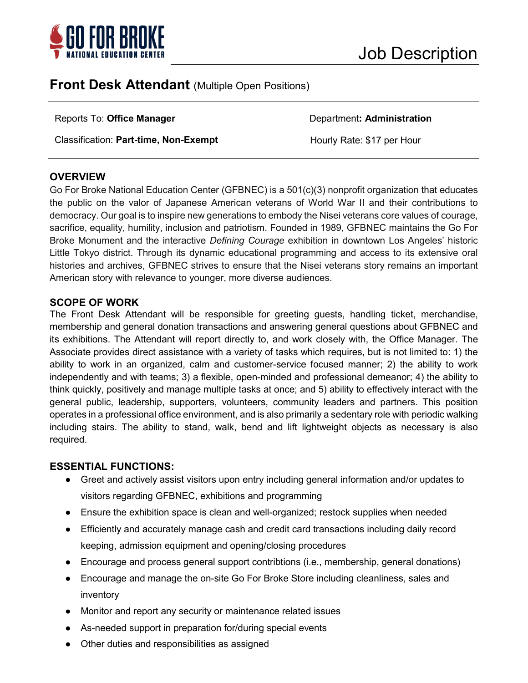

# **Front Desk Attendant** (Multiple Open Positions)

Classification: **Part-time, Non-Exempt Hourly Rate: \$17 per Hour** 

#### Reports To: **Office Manager Department: Administration**

# **OVERVIEW**

Go For Broke National Education Center (GFBNEC) is a 501(c)(3) nonprofit organization that educates the public on the valor of Japanese American veterans of World War II and their contributions to democracy. Our goal is to inspire new generations to embody the Nisei veterans core values of courage, sacrifice, equality, humility, inclusion and patriotism. Founded in 1989, GFBNEC maintains the Go For Broke Monument and the interactive *Defining Courage* exhibition in downtown Los Angeles' historic Little Tokyo district. Through its dynamic educational programming and access to its extensive oral histories and archives, GFBNEC strives to ensure that the Nisei veterans story remains an important American story with relevance to younger, more diverse audiences.

### **SCOPE OF WORK**

The Front Desk Attendant will be responsible for greeting guests, handling ticket, merchandise, membership and general donation transactions and answering general questions about GFBNEC and its exhibitions. The Attendant will report directly to, and work closely with, the Office Manager. The Associate provides direct assistance with a variety of tasks which requires, but is not limited to: 1) the ability to work in an organized, calm and customer-service focused manner; 2) the ability to work independently and with teams; 3) a flexible, open-minded and professional demeanor; 4) the ability to think quickly, positively and manage multiple tasks at once; and 5) ability to effectively interact with the general public, leadership, supporters, volunteers, community leaders and partners. This position operates in a professional office environment, and is also primarily a sedentary role with periodic walking including stairs. The ability to stand, walk, bend and lift lightweight objects as necessary is also required.

#### **ESSENTIAL FUNCTIONS:**

- Greet and actively assist visitors upon entry including general information and/or updates to visitors regarding GFBNEC, exhibitions and programming
- Ensure the exhibition space is clean and well-organized; restock supplies when needed
- Efficiently and accurately manage cash and credit card transactions including daily record keeping, admission equipment and opening/closing procedures
- Encourage and process general support contribtions (i.e., membership, general donations)
- Encourage and manage the on-site Go For Broke Store including cleanliness, sales and inventory
- Monitor and report any security or maintenance related issues
- As-needed support in preparation for/during special events
- Other duties and responsibilities as assigned